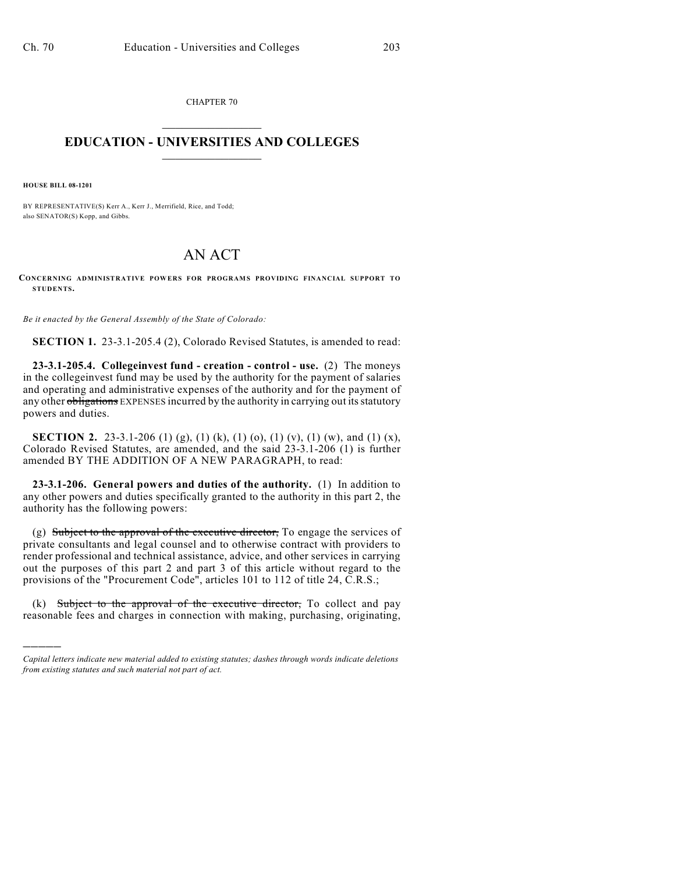CHAPTER 70  $\overline{\phantom{a}}$  . The set of the set of the set of the set of the set of the set of the set of the set of the set of the set of the set of the set of the set of the set of the set of the set of the set of the set of the set o

## **EDUCATION - UNIVERSITIES AND COLLEGES**  $\_$

**HOUSE BILL 08-1201**

)))))

BY REPRESENTATIVE(S) Kerr A., Kerr J., Merrifield, Rice, and Todd; also SENATOR(S) Kopp, and Gibbs.

## AN ACT

**CONCERNING ADMINISTRATIVE POWERS FOR PROGRAMS PROVIDING FINANCIAL SUPPORT TO STUDENTS.**

*Be it enacted by the General Assembly of the State of Colorado:*

**SECTION 1.** 23-3.1-205.4 (2), Colorado Revised Statutes, is amended to read:

**23-3.1-205.4. Collegeinvest fund - creation - control - use.** (2) The moneys in the collegeinvest fund may be used by the authority for the payment of salaries and operating and administrative expenses of the authority and for the payment of any other obligations EXPENSES incurred by the authority in carrying out its statutory powers and duties.

**SECTION 2.** 23-3.1-206 (1) (g), (1) (k), (1) (o), (1) (v), (1) (w), and (1) (x), Colorado Revised Statutes, are amended, and the said 23-3.1-206 (1) is further amended BY THE ADDITION OF A NEW PARAGRAPH, to read:

**23-3.1-206. General powers and duties of the authority.** (1) In addition to any other powers and duties specifically granted to the authority in this part 2, the authority has the following powers:

(g) Subject to the approval of the executive director, To engage the services of private consultants and legal counsel and to otherwise contract with providers to render professional and technical assistance, advice, and other services in carrying out the purposes of this part 2 and part 3 of this article without regard to the provisions of the "Procurement Code", articles 101 to 112 of title 24, C.R.S.;

(k) Subject to the approval of the executive director, To collect and pay reasonable fees and charges in connection with making, purchasing, originating,

*Capital letters indicate new material added to existing statutes; dashes through words indicate deletions from existing statutes and such material not part of act.*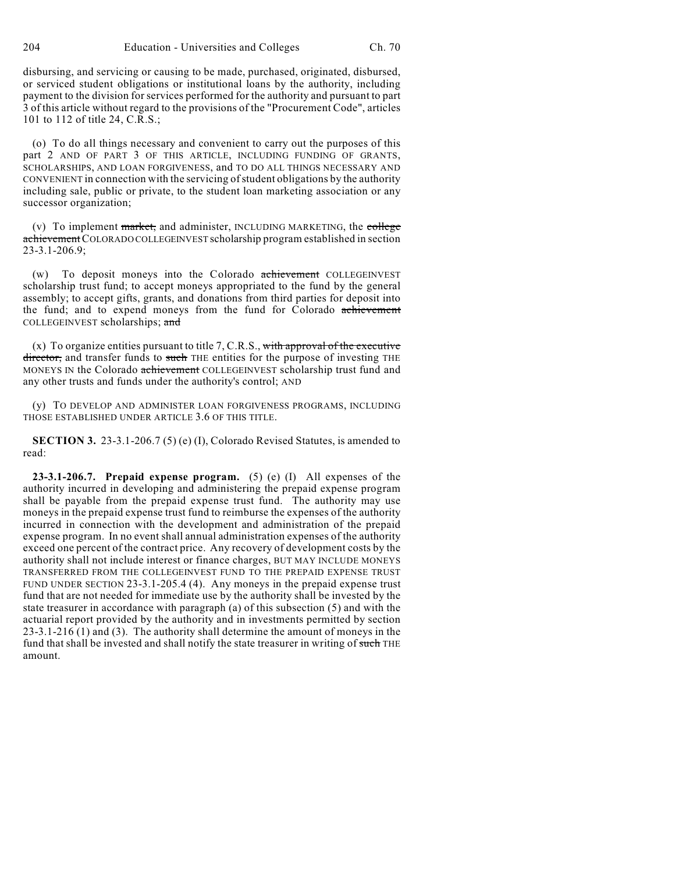disbursing, and servicing or causing to be made, purchased, originated, disbursed, or serviced student obligations or institutional loans by the authority, including payment to the division for services performed for the authority and pursuant to part 3 of this article without regard to the provisions of the "Procurement Code", articles 101 to 112 of title 24, C.R.S.;

(o) To do all things necessary and convenient to carry out the purposes of this part 2 AND OF PART 3 OF THIS ARTICLE, INCLUDING FUNDING OF GRANTS, SCHOLARSHIPS, AND LOAN FORGIVENESS, and TO DO ALL THINGS NECESSARY AND CONVENIENT in connection with the servicing of student obligations by the authority including sale, public or private, to the student loan marketing association or any successor organization;

(v) To implement  $\frac{text}{text{ranket}}$ , and administer, INCLUDING MARKETING, the college achievement COLORADO COLLEGEINVEST scholarship program established in section 23-3.1-206.9;

(w) To deposit moneys into the Colorado achievement COLLEGEINVEST scholarship trust fund; to accept moneys appropriated to the fund by the general assembly; to accept gifts, grants, and donations from third parties for deposit into the fund; and to expend moneys from the fund for Colorado achievement COLLEGEINVEST scholarships; and

 $(x)$  To organize entities pursuant to title 7, C.R.S., with approval of the executive director, and transfer funds to such THE entities for the purpose of investing THE MONEYS IN the Colorado achievement COLLEGEINVEST scholarship trust fund and any other trusts and funds under the authority's control; AND

(y) TO DEVELOP AND ADMINISTER LOAN FORGIVENESS PROGRAMS, INCLUDING THOSE ESTABLISHED UNDER ARTICLE 3.6 OF THIS TITLE.

**SECTION 3.** 23-3.1-206.7 (5) (e) (I), Colorado Revised Statutes, is amended to read:

**23-3.1-206.7. Prepaid expense program.** (5) (e) (I) All expenses of the authority incurred in developing and administering the prepaid expense program shall be payable from the prepaid expense trust fund. The authority may use moneys in the prepaid expense trust fund to reimburse the expenses of the authority incurred in connection with the development and administration of the prepaid expense program. In no event shall annual administration expenses of the authority exceed one percent of the contract price. Any recovery of development costs by the authority shall not include interest or finance charges, BUT MAY INCLUDE MONEYS TRANSFERRED FROM THE COLLEGEINVEST FUND TO THE PREPAID EXPENSE TRUST FUND UNDER SECTION 23-3.1-205.4 (4). Any moneys in the prepaid expense trust fund that are not needed for immediate use by the authority shall be invested by the state treasurer in accordance with paragraph (a) of this subsection (5) and with the actuarial report provided by the authority and in investments permitted by section 23-3.1-216 (1) and (3). The authority shall determine the amount of moneys in the fund that shall be invested and shall notify the state treasurer in writing of such THE amount.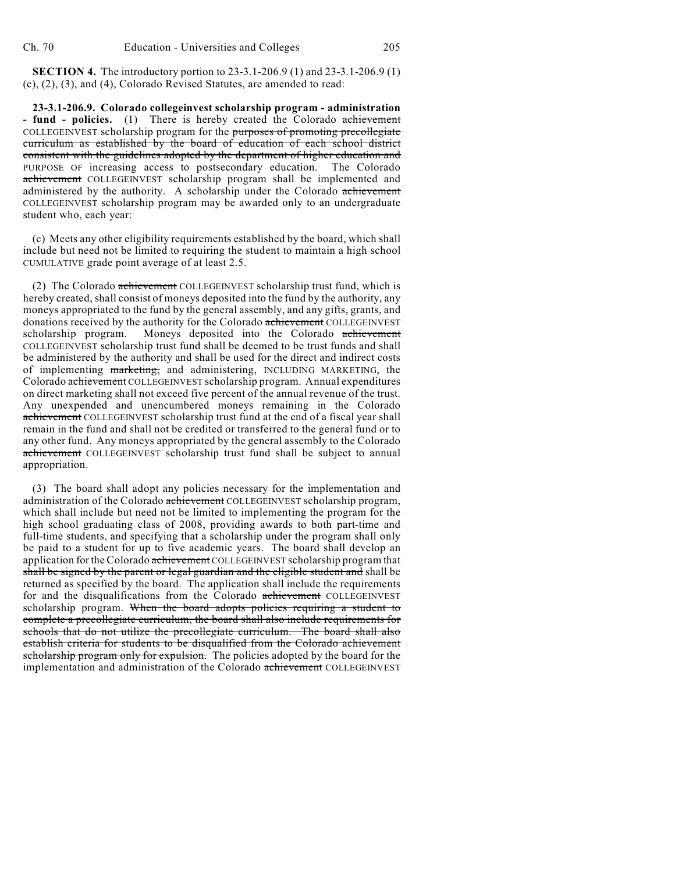**SECTION 4.** The introductory portion to 23-3.1-206.9 (1) and 23-3.1-206.9 (1) (c), (2), (3), and (4), Colorado Revised Statutes, are amended to read:

**23-3.1-206.9. Colorado collegeinvest scholarship program - administration - fund - policies.** (1) There is hereby created the Colorado achievement COLLEGEINVEST scholarship program for the purposes of promoting precollegiate curriculum as established by the board of education of each school district consistent with the guidelines adopted by the department of higher education and PURPOSE OF increasing access to postsecondary education. The Colorado achievement COLLEGEINVEST scholarship program shall be implemented and administered by the authority. A scholarship under the Colorado achievement COLLEGEINVEST scholarship program may be awarded only to an undergraduate student who, each year:

(c) Meets any other eligibility requirements established by the board, which shall include but need not be limited to requiring the student to maintain a high school CUMULATIVE grade point average of at least 2.5.

(2) The Colorado achievement COLLEGEINVEST scholarship trust fund, which is hereby created, shall consist of moneys deposited into the fund by the authority, any moneys appropriated to the fund by the general assembly, and any gifts, grants, and donations received by the authority for the Colorado achievement COLLEGEINVEST scholarship program. Moneys deposited into the Colorado achievement COLLEGEINVEST scholarship trust fund shall be deemed to be trust funds and shall be administered by the authority and shall be used for the direct and indirect costs of implementing marketing, and administering, INCLUDING MARKETING, the Colorado achievement COLLEGEINVEST scholarship program. Annual expenditures on direct marketing shall not exceed five percent of the annual revenue of the trust. Any unexpended and unencumbered moneys remaining in the Colorado achievement COLLEGEINVEST scholarship trust fund at the end of a fiscal year shall remain in the fund and shall not be credited or transferred to the general fund or to any other fund. Any moneys appropriated by the general assembly to the Colorado achievement COLLEGEINVEST scholarship trust fund shall be subject to annual appropriation.

(3) The board shall adopt any policies necessary for the implementation and administration of the Colorado achievement COLLEGEINVEST scholarship program, which shall include but need not be limited to implementing the program for the high school graduating class of 2008, providing awards to both part-time and full-time students, and specifying that a scholarship under the program shall only be paid to a student for up to five academic years. The board shall develop an application for the Colorado achievement COLLEGEINVEST scholarship program that shall be signed by the parent or legal guardian and the eligible student and shall be returned as specified by the board. The application shall include the requirements for and the disqualifications from the Colorado achievement COLLEGEINVEST scholarship program. When the board adopts policies requiring a student to complete a precollegiate curriculum, the board shall also include requirements for schools that do not utilize the precollegiate curriculum. The board shall also establish criteria for students to be disqualified from the Colorado achievement scholarship program only for expulsion. The policies adopted by the board for the implementation and administration of the Colorado achievement COLLEGEINVEST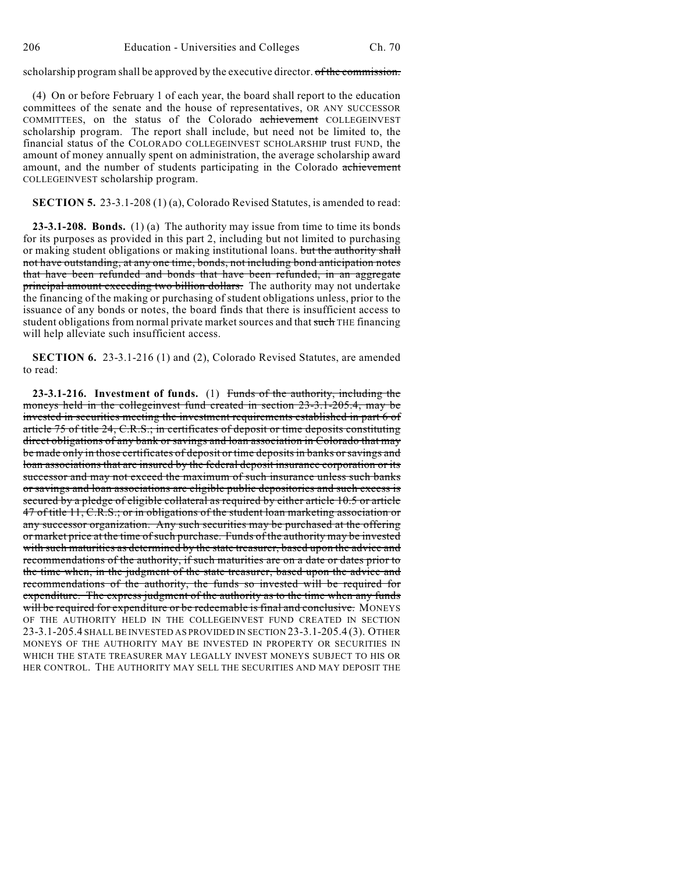scholarship program shall be approved by the executive director. of the commission.

(4) On or before February 1 of each year, the board shall report to the education committees of the senate and the house of representatives, OR ANY SUCCESSOR COMMITTEES, on the status of the Colorado achievement COLLEGEINVEST scholarship program. The report shall include, but need not be limited to, the financial status of the COLORADO COLLEGEINVEST SCHOLARSHIP trust FUND, the amount of money annually spent on administration, the average scholarship award amount, and the number of students participating in the Colorado achievement COLLEGEINVEST scholarship program.

**SECTION 5.** 23-3.1-208 (1) (a), Colorado Revised Statutes, is amended to read:

**23-3.1-208. Bonds.** (1) (a) The authority may issue from time to time its bonds for its purposes as provided in this part 2, including but not limited to purchasing or making student obligations or making institutional loans. but the authority shall not have outstanding, at any one time, bonds, not including bond anticipation notes that have been refunded and bonds that have been refunded, in an aggregate principal amount exceeding two billion dollars. The authority may not undertake the financing of the making or purchasing of student obligations unless, prior to the issuance of any bonds or notes, the board finds that there is insufficient access to student obligations from normal private market sources and that such THE financing will help alleviate such insufficient access.

**SECTION 6.** 23-3.1-216 (1) and (2), Colorado Revised Statutes, are amended to read:

**23-3.1-216. Investment of funds.** (1) Funds of the authority, including the moneys held in the collegeinvest fund created in section 23-3.1-205.4, may be invested in securities meeting the investment requirements established in part 6 of article 75 of title 24, C.R.S.; in certificates of deposit or time deposits constituting direct obligations of any bank or savings and loan association in Colorado that may be made only in those certificates of deposit or time deposits in banks or savings and loan associations that are insured by the federal deposit insurance corporation or its successor and may not exceed the maximum of such insurance unless such banks or savings and loan associations are eligible public depositories and such excess is secured by a pledge of eligible collateral as required by either article 10.5 or article 47 of title 11, C.R.S.; or in obligations of the student loan marketing association or any successor organization. Any such securities may be purchased at the offering or market price at the time of such purchase. Funds of the authority may be invested with such maturities as determined by the state treasurer, based upon the advice and recommendations of the authority, if such maturities are on a date or dates prior to the time when, in the judgment of the state treasurer, based upon the advice and recommendations of the authority, the funds so invested will be required for expenditure. The express judgment of the authority as to the time when any funds will be required for expenditure or be redeemable is final and conclusive. MONEYS OF THE AUTHORITY HELD IN THE COLLEGEINVEST FUND CREATED IN SECTION 23-3.1-205.4 SHALL BE INVESTED AS PROVIDED IN SECTION 23-3.1-205.4 (3). OTHER MONEYS OF THE AUTHORITY MAY BE INVESTED IN PROPERTY OR SECURITIES IN WHICH THE STATE TREASURER MAY LEGALLY INVEST MONEYS SUBJECT TO HIS OR HER CONTROL. THE AUTHORITY MAY SELL THE SECURITIES AND MAY DEPOSIT THE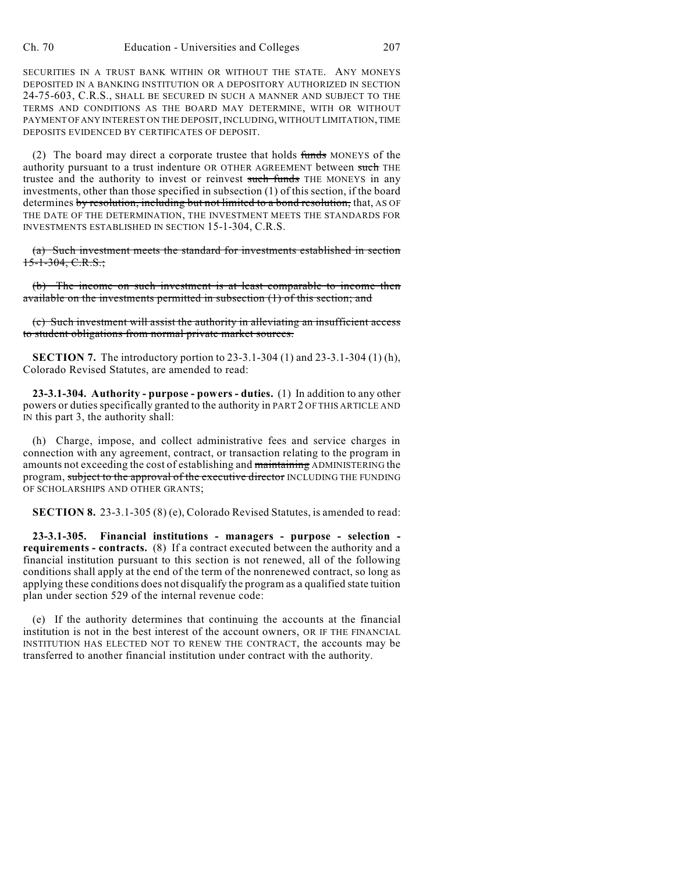SECURITIES IN A TRUST BANK WITHIN OR WITHOUT THE STATE. ANY MONEYS DEPOSITED IN A BANKING INSTITUTION OR A DEPOSITORY AUTHORIZED IN SECTION 24-75-603, C.R.S., SHALL BE SECURED IN SUCH A MANNER AND SUBJECT TO THE TERMS AND CONDITIONS AS THE BOARD MAY DETERMINE, WITH OR WITHOUT PAYMENT OF ANY INTEREST ON THE DEPOSIT, INCLUDING, WITHOUT LIMITATION, TIME DEPOSITS EVIDENCED BY CERTIFICATES OF DEPOSIT.

(2) The board may direct a corporate trustee that holds  $f$ unds MONEYS of the authority pursuant to a trust indenture OR OTHER AGREEMENT between such THE trustee and the authority to invest or reinvest such funds THE MONEYS in any investments, other than those specified in subsection (1) of this section, if the board determines by resolution, including but not limited to a bond resolution, that, AS OF THE DATE OF THE DETERMINATION, THE INVESTMENT MEETS THE STANDARDS FOR INVESTMENTS ESTABLISHED IN SECTION 15-1-304, C.R.S.

(a) Such investment meets the standard for investments established in section  $15-1-304$ , C.R.S.;

(b) The income on such investment is at least comparable to income then available on the investments permitted in subsection (1) of this section; and

(c) Such investment will assist the authority in alleviating an insufficient access to student obligations from normal private market sources.

**SECTION 7.** The introductory portion to 23-3.1-304 (1) and 23-3.1-304 (1) (h), Colorado Revised Statutes, are amended to read:

**23-3.1-304. Authority - purpose - powers - duties.** (1) In addition to any other powers or duties specifically granted to the authority in PART 2 OF THIS ARTICLE AND IN this part 3, the authority shall:

(h) Charge, impose, and collect administrative fees and service charges in connection with any agreement, contract, or transaction relating to the program in amounts not exceeding the cost of establishing and maintaining ADMINISTERING the program, subject to the approval of the executive director INCLUDING THE FUNDING OF SCHOLARSHIPS AND OTHER GRANTS;

**SECTION 8.** 23-3.1-305 (8) (e), Colorado Revised Statutes, is amended to read:

**23-3.1-305. Financial institutions - managers - purpose - selection requirements - contracts.** (8) If a contract executed between the authority and a financial institution pursuant to this section is not renewed, all of the following conditions shall apply at the end of the term of the nonrenewed contract, so long as applying these conditions does not disqualify the program as a qualified state tuition plan under section 529 of the internal revenue code:

(e) If the authority determines that continuing the accounts at the financial institution is not in the best interest of the account owners, OR IF THE FINANCIAL INSTITUTION HAS ELECTED NOT TO RENEW THE CONTRACT, the accounts may be transferred to another financial institution under contract with the authority.